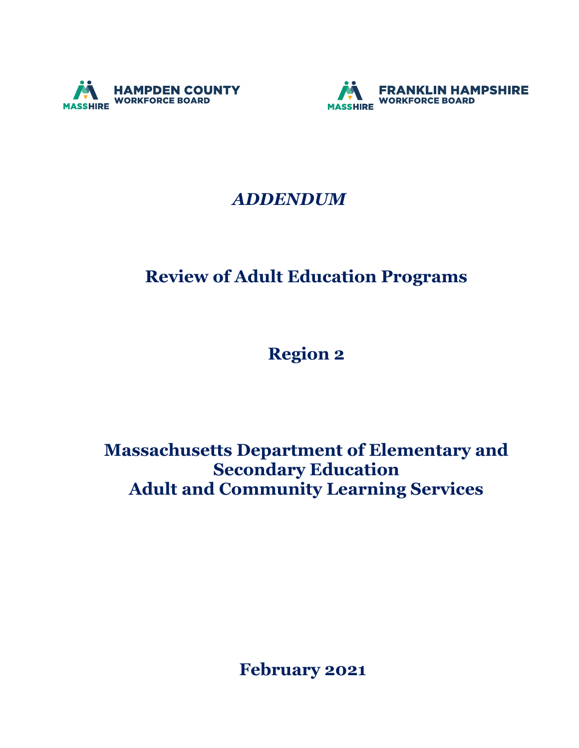



## *ADDENDUM*

# **Review of Adult Education Programs**

**Region 2**

**Massachusetts Department of Elementary and Secondary Education Adult and Community Learning Services** 

 **February 2021**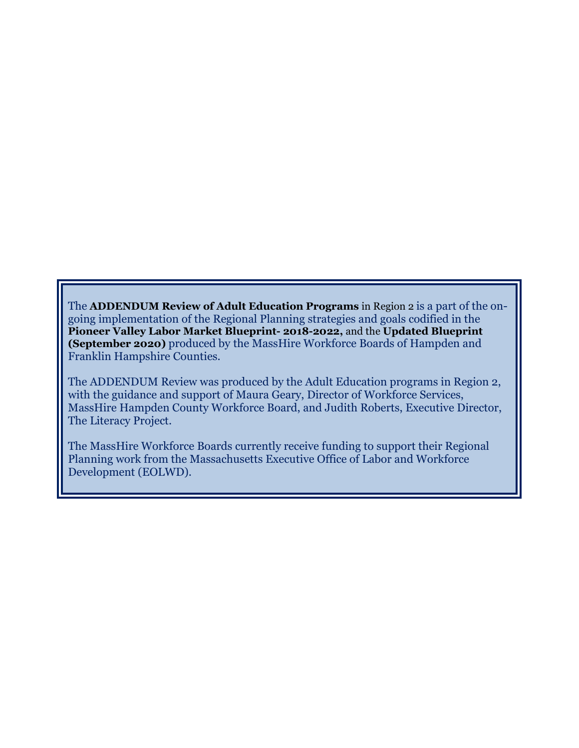The **ADDENDUM Review of Adult Education Programs** in Region 2 is a part of the ongoing implementation of the Regional Planning strategies and goals codified in the **Pioneer Valley Labor Market Blueprint- 2018-2022,** and the **Updated Blueprint (September 2020)** produced by the MassHire Workforce Boards of Hampden and Franklin Hampshire Counties.

The ADDENDUM Review was produced by the Adult Education programs in Region 2, with the guidance and support of Maura Geary, Director of Workforce Services, MassHire Hampden County Workforce Board, and Judith Roberts, Executive Director, The Literacy Project.

The MassHire Workforce Boards currently receive funding to support their Regional Planning work from the Massachusetts Executive Office of Labor and Workforce Development (EOLWD).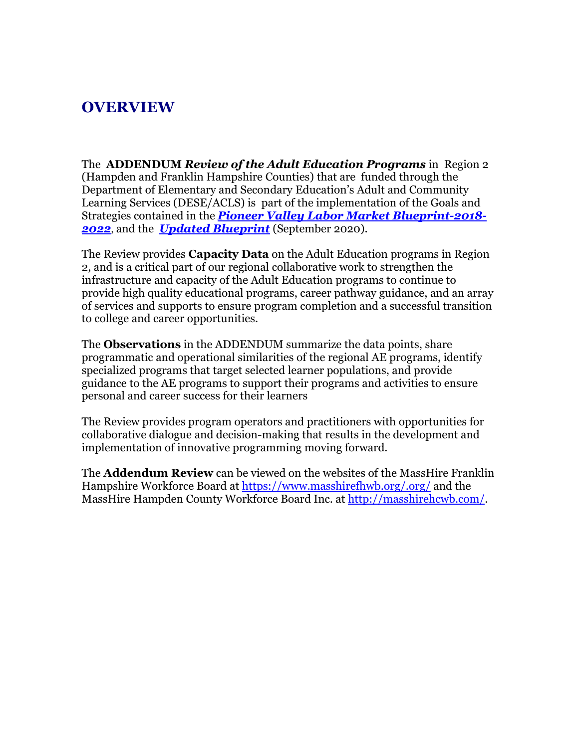## **OVERVIEW**

The **ADDENDUM** *Review of the Adult Education Programs* in Region 2 (Hampden and Franklin Hampshire Counties) that are funded through the Department of Elementary and Secondary Education's Adult and Community Learning Services (DESE/ACLS) is part of the implementation of the Goals and Strategies contained in the *Pioneer Valley Labor Market Blueprint-2018- 2022*, and the *Updated Blueprint* (September 2020).

The Review provides **Capacity Data** on the Adult Education programs in Region 2, and is a critical part of our regional collaborative work to strengthen the infrastructure and capacity of the Adult Education programs to continue to provide high quality educational programs, career pathway guidance, and an array of services and supports to ensure program completion and a successful transition to college and career opportunities.

The **Observations** in the ADDENDUM summarize the data points, share programmatic and operational similarities of the regional AE programs, identify specialized programs that target selected learner populations, and provide guidance to the AE programs to support their programs and activities to ensure personal and career success for their learners

The Review provides program operators and practitioners with opportunities for collaborative dialogue and decision-making that results in the development and implementation of innovative programming moving forward.

The **Addendum Review** can be viewed on the websites of the MassHire Franklin Hampshire Workforce Board at<https://www.masshirefhwb.org/>[.org/](http://franklinhampshirereb.org/) and the MassHire Hampden County Workforce Board Inc. at [http://masshirehcwb.com/.](http://masshirehcwb.com/)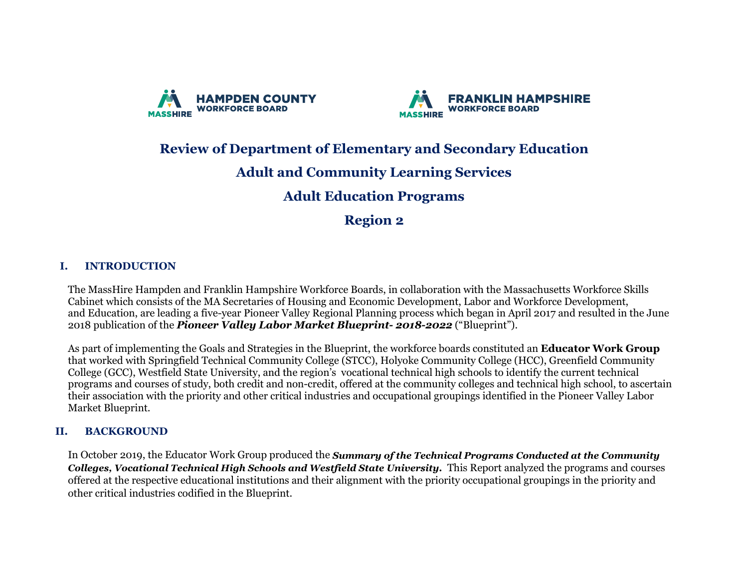



### **Review of Department of Elementary and Secondary Education**

## **Adult and Community Learning Services**

## **Adult Education Programs**

## **Region 2**

#### **I. INTRODUCTION**

The MassHire Hampden and Franklin Hampshire Workforce Boards, in collaboration with the Massachusetts Workforce Skills Cabinet which consists of the MA Secretaries of Housing and Economic Development, Labor and Workforce Development, and Education, are leading a five-year Pioneer Valley Regional Planning process which began in April 2017 and resulted in the June 2018 publication of the *Pioneer Valley Labor Market Blueprint- 2018-2022* ("Blueprint").

As part of implementing the Goals and Strategies in the Blueprint, the workforce boards constituted an **Educator Work Group** that worked with Springfield Technical Community College (STCC), Holyoke Community College (HCC), Greenfield Community College (GCC), Westfield State University, and the region's vocational technical high schools to identify the current technical programs and courses of study, both credit and non-credit, offered at the community colleges and technical high school, to ascertain their association with the priority and other critical industries and occupational groupings identified in the Pioneer Valley Labor Market Blueprint.

#### **II. BACKGROUND**

In October 2019, the Educator Work Group produced the *Summary of the Technical Programs Conducted at the Community Colleges, Vocational Technical High Schools and Westfield State University.* This Report analyzed the programs and courses offered at the respective educational institutions and their alignment with the priority occupational groupings in the priority and other critical industries codified in the Blueprint.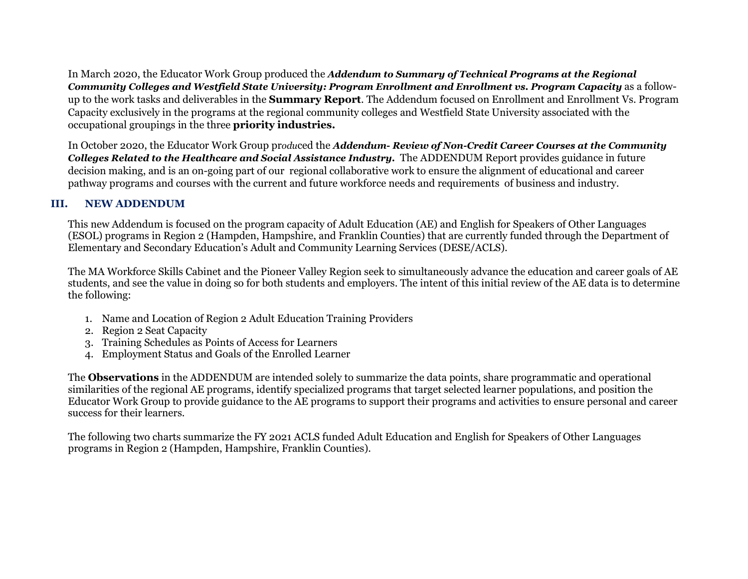In March 2020, the Educator Work Group produced the *Addendum to Summary of Technical Programs at the Regional Community Colleges and Westfield State University: Program Enrollment and Enrollment vs. Program Capacity* as a followup to the work tasks and deliverables in the **Summary Report**. The Addendum focused on Enrollment and Enrollment Vs. Program Capacity exclusively in the programs at the regional community colleges and Westfield State University associated with the occupational groupings in the three **priority industries.**

In October 2020, the Educator Work Group pr*odu*ced the *Addendum- Review of Non-Credit Career Courses at the Community Colleges Related to the Healthcare and Social Assistance Industry.* The ADDENDUM Report provides guidance in future decision making, and is an on-going part of our regional collaborative work to ensure the alignment of educational and career pathway programs and courses with the current and future workforce needs and requirements of business and industry.

#### **III. NEW ADDENDUM**

This new Addendum is focused on the program capacity of Adult Education (AE) and English for Speakers of Other Languages (ESOL) programs in Region 2 (Hampden, Hampshire, and Franklin Counties) that are currently funded through the Department of Elementary and Secondary Education's Adult and Community Learning Services (DESE/ACLS).

The MA Workforce Skills Cabinet and the Pioneer Valley Region seek to simultaneously advance the education and career goals of AE students, and see the value in doing so for both students and employers. The intent of this initial review of the AE data is to determine the following:

- 1. Name and Location of Region 2 Adult Education Training Providers
- 2. Region 2 Seat Capacity
- 3. Training Schedules as Points of Access for Learners
- 4. Employment Status and Goals of the Enrolled Learner

The **Observations** in the ADDENDUM are intended solely to summarize the data points, share programmatic and operational similarities of the regional AE programs, identify specialized programs that target selected learner populations, and position the Educator Work Group to provide guidance to the AE programs to support their programs and activities to ensure personal and career success for their learners.

The following two charts summarize the FY 2021 ACLS funded Adult Education and English for Speakers of Other Languages programs in Region 2 (Hampden, Hampshire, Franklin Counties).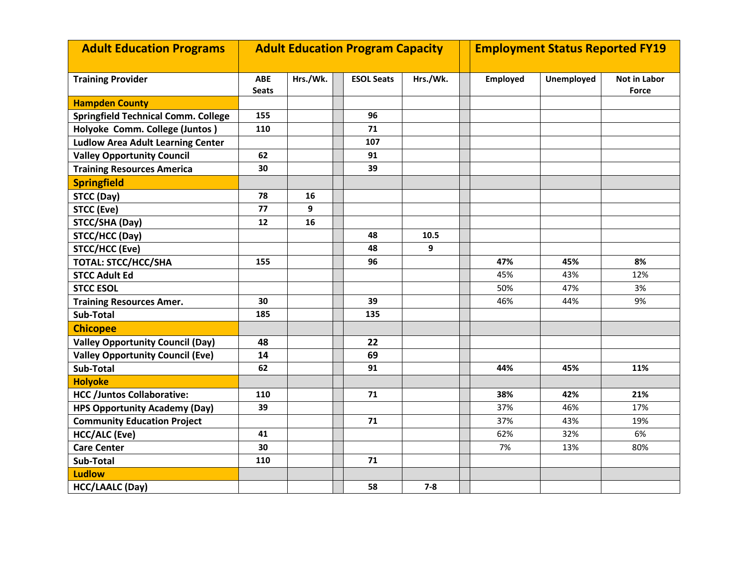| <b>Adult Education Programs</b>            | <b>Adult Education Program Capacity</b> |          |  |                   | <b>Employment Status Reported FY19</b> |  |          |            |                              |
|--------------------------------------------|-----------------------------------------|----------|--|-------------------|----------------------------------------|--|----------|------------|------------------------------|
| <b>Training Provider</b>                   | <b>ABE</b><br><b>Seats</b>              | Hrs./Wk. |  | <b>ESOL Seats</b> | Hrs./Wk.                               |  | Employed | Unemployed | <b>Not in Labor</b><br>Force |
| <b>Hampden County</b>                      |                                         |          |  |                   |                                        |  |          |            |                              |
| <b>Springfield Technical Comm. College</b> | 155                                     |          |  | 96                |                                        |  |          |            |                              |
| Holyoke Comm. College (Juntos)             | 110                                     |          |  | 71                |                                        |  |          |            |                              |
| <b>Ludlow Area Adult Learning Center</b>   |                                         |          |  | 107               |                                        |  |          |            |                              |
| <b>Valley Opportunity Council</b>          | 62                                      |          |  | 91                |                                        |  |          |            |                              |
| <b>Training Resources America</b>          | 30                                      |          |  | 39                |                                        |  |          |            |                              |
| <b>Springfield</b>                         |                                         |          |  |                   |                                        |  |          |            |                              |
| STCC (Day)                                 | 78                                      | 16       |  |                   |                                        |  |          |            |                              |
| <b>STCC (Eve)</b>                          | 77                                      | 9        |  |                   |                                        |  |          |            |                              |
| STCC/SHA (Day)                             | 12                                      | 16       |  |                   |                                        |  |          |            |                              |
| <b>STCC/HCC (Day)</b>                      |                                         |          |  | 48                | 10.5                                   |  |          |            |                              |
| <b>STCC/HCC (Eve)</b>                      |                                         |          |  | 48                | 9                                      |  |          |            |                              |
| TOTAL: STCC/HCC/SHA                        | 155                                     |          |  | 96                |                                        |  | 47%      | 45%        | 8%                           |
| <b>STCC Adult Ed</b>                       |                                         |          |  |                   |                                        |  | 45%      | 43%        | 12%                          |
| <b>STCC ESOL</b>                           |                                         |          |  |                   |                                        |  | 50%      | 47%        | 3%                           |
| <b>Training Resources Amer.</b>            | 30                                      |          |  | 39                |                                        |  | 46%      | 44%        | 9%                           |
| Sub-Total                                  | 185                                     |          |  | 135               |                                        |  |          |            |                              |
| <b>Chicopee</b>                            |                                         |          |  |                   |                                        |  |          |            |                              |
| <b>Valley Opportunity Council (Day)</b>    | 48                                      |          |  | 22                |                                        |  |          |            |                              |
| <b>Valley Opportunity Council (Eve)</b>    | 14                                      |          |  | 69                |                                        |  |          |            |                              |
| Sub-Total                                  | 62                                      |          |  | 91                |                                        |  | 44%      | 45%        | 11%                          |
| <b>Holyoke</b>                             |                                         |          |  |                   |                                        |  |          |            |                              |
| <b>HCC /Juntos Collaborative:</b>          | 110                                     |          |  | 71                |                                        |  | 38%      | 42%        | 21%                          |
| <b>HPS Opportunity Academy (Day)</b>       | 39                                      |          |  |                   |                                        |  | 37%      | 46%        | 17%                          |
| <b>Community Education Project</b>         |                                         |          |  | 71                |                                        |  | 37%      | 43%        | 19%                          |
| <b>HCC/ALC (Eve)</b>                       | 41                                      |          |  |                   |                                        |  | 62%      | 32%        | 6%                           |
| <b>Care Center</b>                         | 30                                      |          |  |                   |                                        |  | 7%       | 13%        | 80%                          |
| Sub-Total                                  | 110                                     |          |  | 71                |                                        |  |          |            |                              |
| <b>Ludlow</b>                              |                                         |          |  |                   |                                        |  |          |            |                              |
| <b>HCC/LAALC (Day)</b>                     |                                         |          |  | 58                | $7 - 8$                                |  |          |            |                              |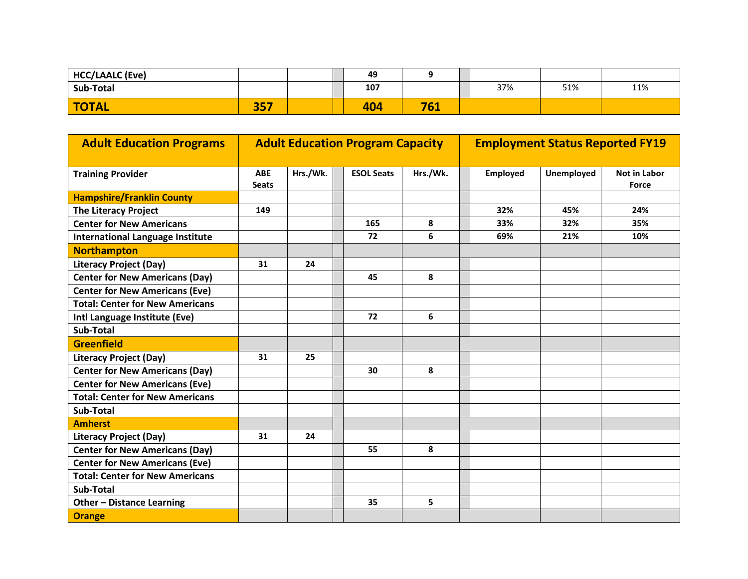| HCC/LAALC (Eve) |     | 49  |     |     |     |     |
|-----------------|-----|-----|-----|-----|-----|-----|
| Sub-Total       |     | 107 |     | 37% | 51% | 11% |
| <b>TOTAL</b>    | 357 | 404 | 761 |     |     |     |

| <b>Adult Education Programs</b>         | <b>Adult Education Program Capacity</b> |          |                   | <b>Employment Status Reported FY19</b> |                 |            |                                     |
|-----------------------------------------|-----------------------------------------|----------|-------------------|----------------------------------------|-----------------|------------|-------------------------------------|
| <b>Training Provider</b>                | <b>ABE</b><br><b>Seats</b>              | Hrs./Wk. | <b>ESOL Seats</b> | Hrs./Wk.                               | <b>Employed</b> | Unemployed | <b>Not in Labor</b><br><b>Force</b> |
| <b>Hampshire/Franklin County</b>        |                                         |          |                   |                                        |                 |            |                                     |
| <b>The Literacy Project</b>             | 149                                     |          |                   |                                        | 32%             | 45%        | 24%                                 |
| <b>Center for New Americans</b>         |                                         |          | 165               | 8                                      | 33%             | 32%        | 35%                                 |
| <b>International Language Institute</b> |                                         |          | 72                | 6                                      | 69%             | 21%        | 10%                                 |
| <b>Northampton</b>                      |                                         |          |                   |                                        |                 |            |                                     |
| <b>Literacy Project (Day)</b>           | 31                                      | 24       |                   |                                        |                 |            |                                     |
| <b>Center for New Americans (Day)</b>   |                                         |          | 45                | 8                                      |                 |            |                                     |
| <b>Center for New Americans (Eve)</b>   |                                         |          |                   |                                        |                 |            |                                     |
| <b>Total: Center for New Americans</b>  |                                         |          |                   |                                        |                 |            |                                     |
| Intl Language Institute (Eve)           |                                         |          | 72                | 6                                      |                 |            |                                     |
| Sub-Total                               |                                         |          |                   |                                        |                 |            |                                     |
| <b>Greenfield</b>                       |                                         |          |                   |                                        |                 |            |                                     |
| <b>Literacy Project (Day)</b>           | 31                                      | 25       |                   |                                        |                 |            |                                     |
| <b>Center for New Americans (Day)</b>   |                                         |          | 30                | 8                                      |                 |            |                                     |
| <b>Center for New Americans (Eve)</b>   |                                         |          |                   |                                        |                 |            |                                     |
| <b>Total: Center for New Americans</b>  |                                         |          |                   |                                        |                 |            |                                     |
| Sub-Total                               |                                         |          |                   |                                        |                 |            |                                     |
| <b>Amherst</b>                          |                                         |          |                   |                                        |                 |            |                                     |
| <b>Literacy Project (Day)</b>           | 31                                      | 24       |                   |                                        |                 |            |                                     |
| <b>Center for New Americans (Day)</b>   |                                         |          | 55                | 8                                      |                 |            |                                     |
| <b>Center for New Americans (Eve)</b>   |                                         |          |                   |                                        |                 |            |                                     |
| <b>Total: Center for New Americans</b>  |                                         |          |                   |                                        |                 |            |                                     |
| Sub-Total                               |                                         |          |                   |                                        |                 |            |                                     |
| <b>Other - Distance Learning</b>        |                                         |          | 35                | 5                                      |                 |            |                                     |
| <b>Orange</b>                           |                                         |          |                   |                                        |                 |            |                                     |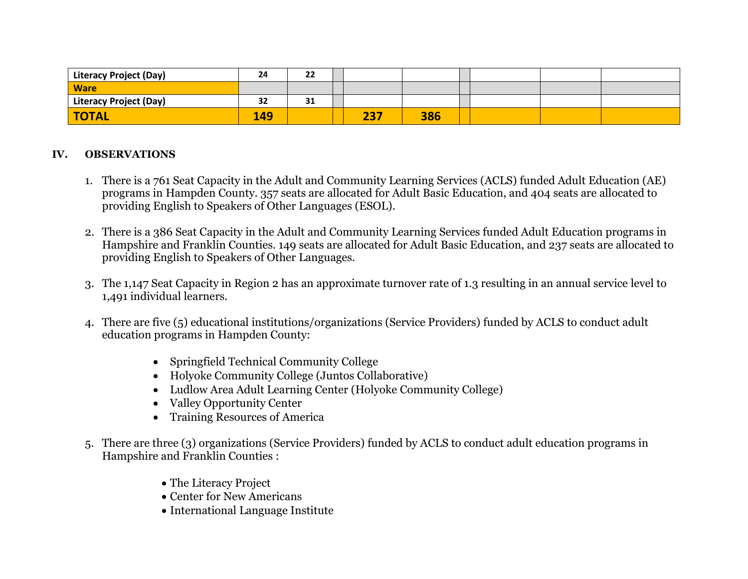| <b>Literacy Project (Day)</b> | 24  | 22 |     |     |  |  |
|-------------------------------|-----|----|-----|-----|--|--|
| <b>Ware</b>                   |     |    |     |     |  |  |
| <b>Literacy Project (Day)</b> | 32  | 31 |     |     |  |  |
| <b>TOTAL</b>                  | 149 |    | 237 | 386 |  |  |

#### **IV. OBSERVATIONS**

- 1. There is a 761 Seat Capacity in the Adult and Community Learning Services (ACLS) funded Adult Education (AE) programs in Hampden County. 357 seats are allocated for Adult Basic Education, and 404 seats are allocated to providing English to Speakers of Other Languages (ESOL).
- 2. There is a 386 Seat Capacity in the Adult and Community Learning Services funded Adult Education programs in Hampshire and Franklin Counties. 149 seats are allocated for Adult Basic Education, and 237 seats are allocated to providing English to Speakers of Other Languages.
- 3. The 1,147 Seat Capacity in Region 2 has an approximate turnover rate of 1.3 resulting in an annual service level to 1,491 individual learners.
- 4. There are five (5) educational institutions/organizations (Service Providers) funded by ACLS to conduct adult education programs in Hampden County:
	- Springfield Technical Community College
	- Holyoke Community College (Juntos Collaborative)
	- Ludlow Area Adult Learning Center (Holyoke Community College)
	- Valley Opportunity Center
	- Training Resources of America
- 5. There are three (3) organizations (Service Providers) funded by ACLS to conduct adult education programs in Hampshire and Franklin Counties :
	- The Literacy Project
	- Center for New Americans
	- International Language Institute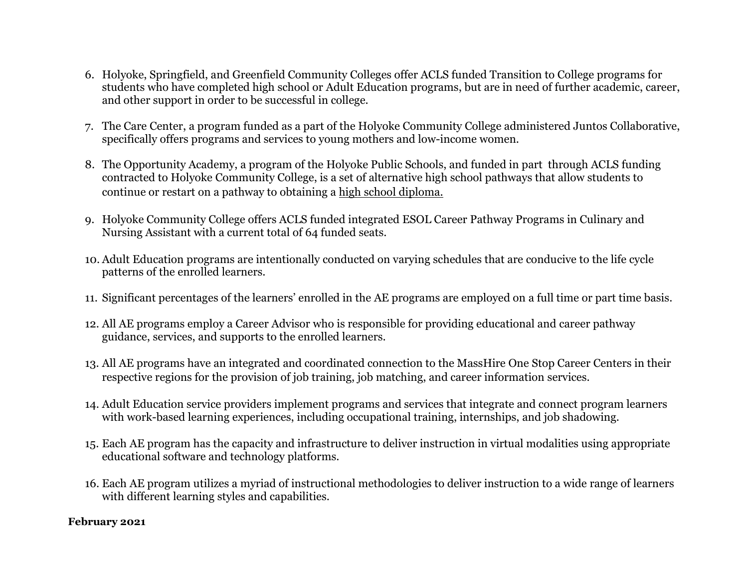- 6. Holyoke, Springfield, and Greenfield Community Colleges offer ACLS funded Transition to College programs for students who have completed high school or Adult Education programs, but are in need of further academic, career, and other support in order to be successful in college.
- 7. The Care Center, a program funded as a part of the Holyoke Community College administered Juntos Collaborative, specifically offers programs and services to young mothers and low-income women.
- 8. The Opportunity Academy, a program of the Holyoke Public Schools, and funded in part through ACLS funding contracted to Holyoke Community College, is a set of alternative high school pathways that allow students to continue or restart on a pathway to obtaining a high school diploma.
- 9. Holyoke Community College offers ACLS funded integrated ESOL Career Pathway Programs in Culinary and Nursing Assistant with a current total of 64 funded seats.
- 10. Adult Education programs are intentionally conducted on varying schedules that are conducive to the life cycle patterns of the enrolled learners.
- 11. Significant percentages of the learners' enrolled in the AE programs are employed on a full time or part time basis.
- 12. All AE programs employ a Career Advisor who is responsible for providing educational and career pathway guidance, services, and supports to the enrolled learners.
- 13. All AE programs have an integrated and coordinated connection to the MassHire One Stop Career Centers in their respective regions for the provision of job training, job matching, and career information services.
- 14. Adult Education service providers implement programs and services that integrate and connect program learners with work-based learning experiences, including occupational training, internships, and job shadowing.
- 15. Each AE program has the capacity and infrastructure to deliver instruction in virtual modalities using appropriate educational software and technology platforms.
- 16. Each AE program utilizes a myriad of instructional methodologies to deliver instruction to a wide range of learners with different learning styles and capabilities.

#### **February 2021**